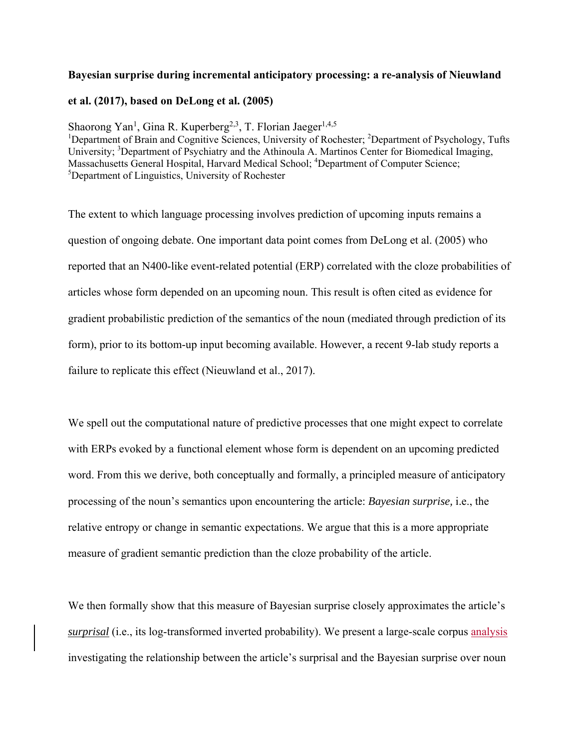## **Bayesian surprise during incremental anticipatory processing: a re-analysis of Nieuwland**

## **et al. (2017), based on DeLong et al. (2005)**

Shaorong Yan<sup>1</sup>, Gina R. Kuperberg<sup>2,3</sup>, T. Florian Jaeger<sup>1,4,5</sup>

<sup>1</sup>Department of Brain and Cognitive Sciences, University of Rochester; <sup>2</sup>Department of Psychology, Tufts University; <sup>3</sup>Department of Psychiatry and the Athinoula A. Martinos Center for Biomedical Imaging, Massachusetts General Hospital, Harvard Medical School; <sup>4</sup>Department of Computer Science; <sup>5</sup>Department of Linguistics, University of Rochester

The extent to which language processing involves prediction of upcoming inputs remains a question of ongoing debate. One important data point comes from DeLong et al. (2005) who reported that an N400-like event-related potential (ERP) correlated with the cloze probabilities of articles whose form depended on an upcoming noun. This result is often cited as evidence for gradient probabilistic prediction of the semantics of the noun (mediated through prediction of its form), prior to its bottom-up input becoming available. However, a recent 9-lab study reports a failure to replicate this effect (Nieuwland et al., 2017).

We spell out the computational nature of predictive processes that one might expect to correlate with ERPs evoked by a functional element whose form is dependent on an upcoming predicted word. From this we derive, both conceptually and formally, a principled measure of anticipatory processing of the noun's semantics upon encountering the article: *Bayesian surprise,* i.e., the relative entropy or change in semantic expectations. We argue that this is a more appropriate measure of gradient semantic prediction than the cloze probability of the article.

We then formally show that this measure of Bayesian surprise closely approximates the article's *surprisal* (i.e., its log-transformed inverted probability). We present a large-scale corpus analysis investigating the relationship between the article's surprisal and the Bayesian surprise over noun